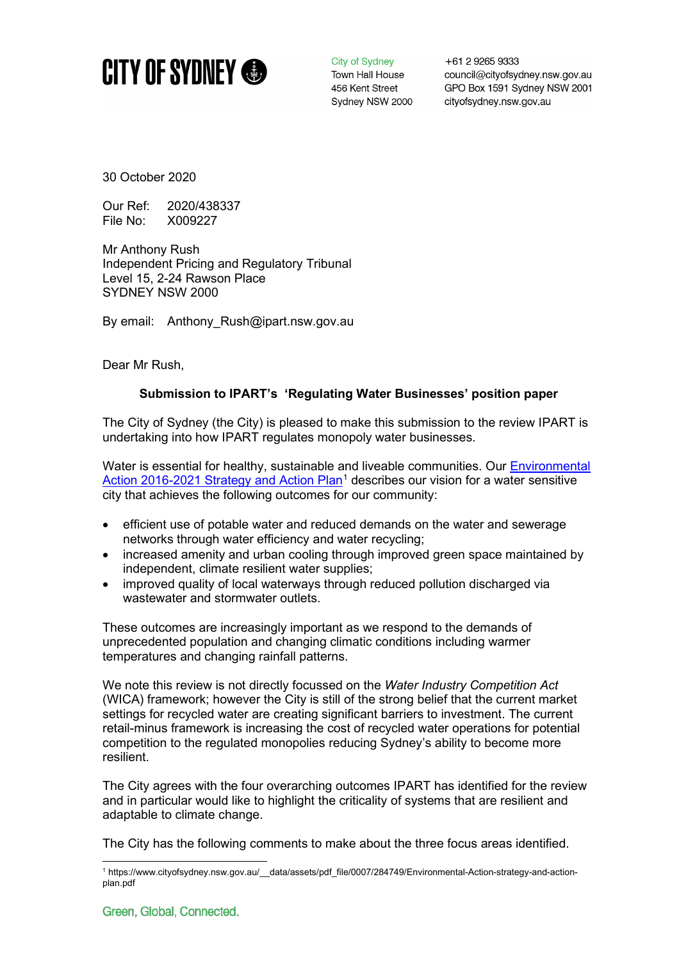

City of Sydney Town Hall House 456 Kent Street Sydney NSW 2000 +61 2 9265 9333 council@cityofsydney.nsw.gov.au GPO Box 1591 Sydney NSW 2001 cityofsydney.nsw.gov.au

30 October 2020

Our Ref: 2020/438337 File No: X009227

Mr Anthony Rush Independent Pricing and Regulatory Tribunal Level 15, 2-24 Rawson Place SYDNEY NSW 2000

By email: Anthony Rush@ipart.nsw.gov.au

Dear Mr Rush,

## **Submission to IPART's 'Regulating Water Businesses' position paper**

The City of Sydney (the City) is pleased to make this submission to the review IPART is undertaking into how IPART regulates monopoly water businesses.

Water is essential for healthy, sustainable and liveable communities. Our **Environmental** [Action 2016-2021 Strategy and Action Plan](https://www.cityofsydney.nsw.gov.au/__data/assets/pdf_file/0007/284749/Environmental-Action-strategy-and-action-plan.pdf)<sup>[1](#page-0-0)</sup> describes our vision for a water sensitive city that achieves the following outcomes for our community:

- efficient use of potable water and reduced demands on the water and sewerage networks through water efficiency and water recycling;
- increased amenity and urban cooling through improved green space maintained by independent, climate resilient water supplies;
- improved quality of local waterways through reduced pollution discharged via wastewater and stormwater outlets.

These outcomes are increasingly important as we respond to the demands of unprecedented population and changing climatic conditions including warmer temperatures and changing rainfall patterns.

We note this review is not directly focussed on the *Water Industry Competition Act* (WICA) framework; however the City is still of the strong belief that the current market settings for recycled water are creating significant barriers to investment. The current retail-minus framework is increasing the cost of recycled water operations for potential competition to the regulated monopolies reducing Sydney's ability to become more resilient.

The City agrees with the four overarching outcomes IPART has identified for the review and in particular would like to highlight the criticality of systems that are resilient and adaptable to climate change.

The City has the following comments to make about the three focus areas identified.

<span id="page-0-0"></span><sup>1</sup> https://www.cityofsydney.nsw.gov.au/\_\_data/assets/pdf\_file/0007/284749/Environmental-Action-strategy-and-actionplan.pdf